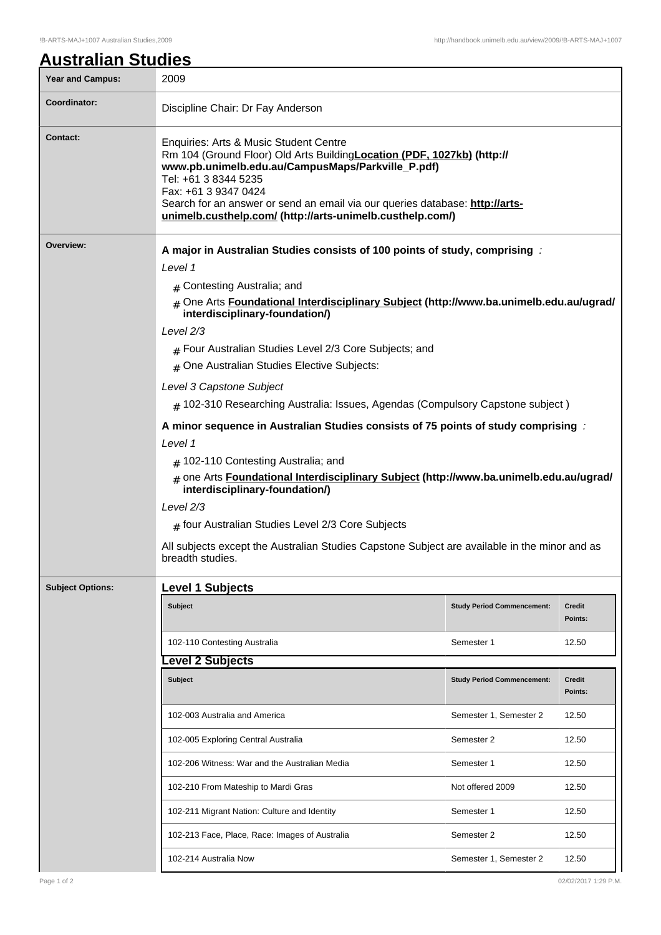## **Australian Studies**

| <b>Year and Campus:</b>                             | 2009                                                                                                                                                                                                                                                                                                                                                                |                                   |                   |  |  |
|-----------------------------------------------------|---------------------------------------------------------------------------------------------------------------------------------------------------------------------------------------------------------------------------------------------------------------------------------------------------------------------------------------------------------------------|-----------------------------------|-------------------|--|--|
| <b>Coordinator:</b>                                 | Discipline Chair: Dr Fay Anderson                                                                                                                                                                                                                                                                                                                                   |                                   |                   |  |  |
| <b>Contact:</b>                                     | Enquiries: Arts & Music Student Centre<br>Rm 104 (Ground Floor) Old Arts Building Location (PDF, 1027kb) (http://<br>www.pb.unimelb.edu.au/CampusMaps/Parkville_P.pdf)<br>Tel: +61 3 8344 5235<br>Fax: +61 3 9347 0424<br>Search for an answer or send an email via our queries database: http://arts-<br>unimelb.custhelp.com/ (http://arts-unimelb.custhelp.com/) |                                   |                   |  |  |
| Overview:                                           | A major in Australian Studies consists of 100 points of study, comprising :<br>Level 1                                                                                                                                                                                                                                                                              |                                   |                   |  |  |
|                                                     |                                                                                                                                                                                                                                                                                                                                                                     |                                   |                   |  |  |
|                                                     | # Contesting Australia; and                                                                                                                                                                                                                                                                                                                                         |                                   |                   |  |  |
|                                                     | # One Arts Foundational Interdisciplinary Subject (http://www.ba.unimelb.edu.au/ugrad/<br>interdisciplinary-foundation/)                                                                                                                                                                                                                                            |                                   |                   |  |  |
|                                                     |                                                                                                                                                                                                                                                                                                                                                                     |                                   |                   |  |  |
|                                                     | # Four Australian Studies Level 2/3 Core Subjects; and<br>$#$ One Australian Studies Elective Subjects:                                                                                                                                                                                                                                                             |                                   |                   |  |  |
|                                                     | Level 3 Capstone Subject                                                                                                                                                                                                                                                                                                                                            |                                   |                   |  |  |
|                                                     | $#$ 102-310 Researching Australia: Issues, Agendas (Compulsory Capstone subject)                                                                                                                                                                                                                                                                                    |                                   |                   |  |  |
|                                                     | A minor sequence in Australian Studies consists of 75 points of study comprising :<br>Level 1<br># 102-110 Contesting Australia; and                                                                                                                                                                                                                                |                                   |                   |  |  |
|                                                     |                                                                                                                                                                                                                                                                                                                                                                     |                                   |                   |  |  |
|                                                     |                                                                                                                                                                                                                                                                                                                                                                     |                                   |                   |  |  |
|                                                     | # one Arts Foundational Interdisciplinary Subject (http://www.ba.unimelb.edu.au/ugrad/<br>interdisciplinary-foundation/)<br>Level $2/3$                                                                                                                                                                                                                             |                                   |                   |  |  |
|                                                     |                                                                                                                                                                                                                                                                                                                                                                     |                                   |                   |  |  |
| $#$ four Australian Studies Level 2/3 Core Subjects |                                                                                                                                                                                                                                                                                                                                                                     |                                   |                   |  |  |
|                                                     | All subjects except the Australian Studies Capstone Subject are available in the minor and as                                                                                                                                                                                                                                                                       |                                   |                   |  |  |
| <b>Level 1 Subjects</b><br><b>Subject Options:</b>  |                                                                                                                                                                                                                                                                                                                                                                     |                                   |                   |  |  |
|                                                     | <b>Subject</b>                                                                                                                                                                                                                                                                                                                                                      | <b>Study Period Commencement:</b> | Credit<br>Points: |  |  |
|                                                     | 102-110 Contesting Australia                                                                                                                                                                                                                                                                                                                                        | Semester 1                        | 12.50             |  |  |
|                                                     | evel 2 Subjects                                                                                                                                                                                                                                                                                                                                                     |                                   |                   |  |  |
|                                                     | <b>Subject</b>                                                                                                                                                                                                                                                                                                                                                      | <b>Study Period Commencement:</b> | Credit<br>Points: |  |  |
|                                                     | 102-003 Australia and America                                                                                                                                                                                                                                                                                                                                       | Semester 1, Semester 2            | 12.50             |  |  |
|                                                     | 102-005 Exploring Central Australia                                                                                                                                                                                                                                                                                                                                 | Semester 2                        | 12.50             |  |  |
|                                                     | 102-206 Witness: War and the Australian Media                                                                                                                                                                                                                                                                                                                       | Semester 1                        | 12.50             |  |  |
|                                                     | 102-210 From Mateship to Mardi Gras                                                                                                                                                                                                                                                                                                                                 | Not offered 2009                  | 12.50             |  |  |
|                                                     | 102-211 Migrant Nation: Culture and Identity                                                                                                                                                                                                                                                                                                                        | Semester 1                        | 12.50             |  |  |
|                                                     | 102-213 Face, Place, Race: Images of Australia                                                                                                                                                                                                                                                                                                                      | Semester 2                        | 12.50             |  |  |
|                                                     | 102-214 Australia Now                                                                                                                                                                                                                                                                                                                                               | Semester 1, Semester 2            | 12.50             |  |  |